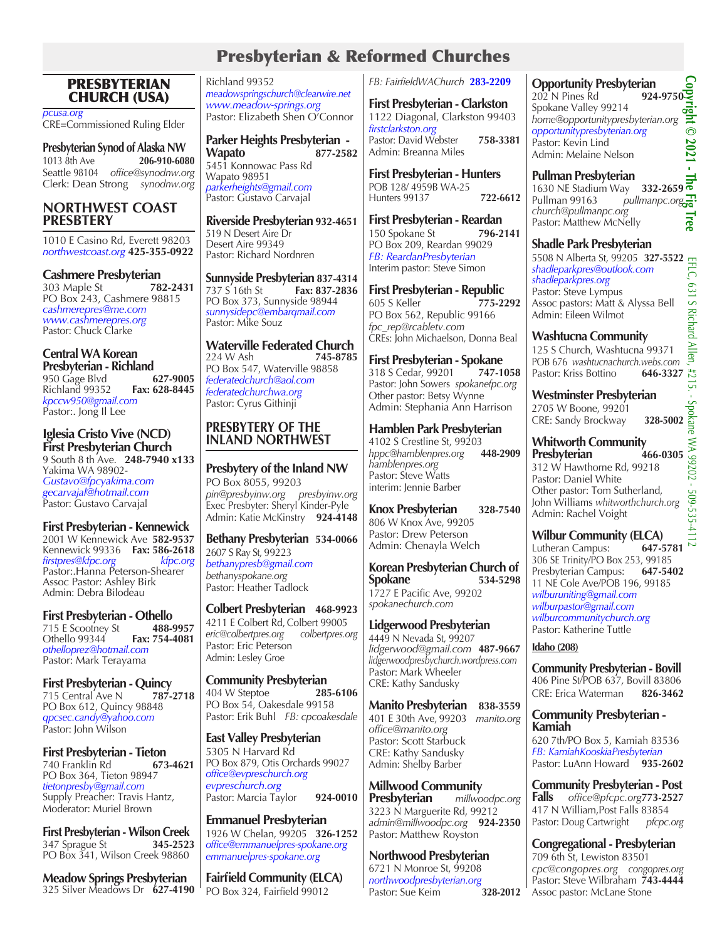## Presbyterian & Reformed Churches

#### PRESBYTERIAN CHURCH (USA)

*pcusa.org* CRE=Commissioned Ruling Elder

**Presbyterian Synod of Alaska NW** 1013 8th Ave **206-910-6080** Seattle 98104 *office@synodnw.org* Clerk: Dean Strong *synodnw.org*

#### **NORTHWEST COAST PRESBTERY**

1010 E Casino Rd, Everett 98203 *northwestcoast.org* **425-355-0922**

**Cashmere Presbyterian**<br>303 Maple St **782-2431** 303 Maple St PO Box 243, Cashmere 98815 *cashmerepres@me.com www.cashmerepres.org* Pastor: Chuck Clarke

#### **Central WA Korean Presbyterian - Richland**<br>950 Gage Blyd **627-9005** 950 Gage Blvd<br>**627-9005 628-8445**<br>**Fax: 628-8445** Richland 99352 **Fax: 628-8445** *kpccw950@gmail.com* Pastor:. Jong Il Lee

**Iglesia Cristo Vive (NCD) First Presbyterian Church**  9 South 8 th Ave. **248-7940 x133** Yakima WA 98902- *Gustavo@fpcyakima.com gecarvajal@hotmail.com* Pastor: Gustavo Carvajal

**First Presbyterian - Kennewick** 2001 W Kennewick Ave **582-9537** Kennewick 99336 **Fax: 586-2618** *firstpres@kfpc.org kfpc.org* Pastor:.Hanna Peterson-Shearer Assoc Pastor: Ashley Birk Admin: Debra Bilodéau

**First Presbyterian - Othello**<br>715 E Scootney St 488-9957 715 E Scootney St **488-9957** Othello 99344<sup>'</sup> *othelloprez@hotmail.com* Pastor: Mark Terayama

**First Presbyterian - Quincy**<br>715 Central Ave N 787-2718 715 Central Ave N PO Box 612, Quincy 98848 *qpcsec.candy@yahoo.com* Pastor: John Wilson

**First Presbyterian - Tieton**  740 Franklin Rd PO Box 364, Tieton 98947 *tietonpresby@gmail.com* Supply Preacher: Travis Hantz, Moderator: Muriel Brown

**First Presbyterian - Wilson Creek**<br>347 Sprague St **345-2523** 347 Sprague St **345-2523** PO Box 341, Wilson Creek 98860

**Meadow Springs Presbyterian** 325 Silver Meadows Dr **627-4190**

Richland 99352 *meadowspringschurch@clearwire.net www.meadow-springs.org*  Pastor: Elizabeth Shen O'Connor

**Parker Heights Presbyterian - Wapato 877-2582** 5451 Konnowac Pass Rd Wapato 98951 *parkerheights@gmail.com* Pastor: Gustavo Carvajal

**Riverside Presbyterian 932-4651** 519 N Desert Aire Dr Desert Aire 99349 Pastor: Richard Nordnren

**Sunnyside Presbyterian 837-4314** Fax: 837-2836 PO Box 373, Sunnyside 98944 *sunnysidepc@embarqmail.com* Pastor: Mike Souz

**Waterville Federated Church**<br>224 W Ash 745-8785 224 W Ash **745-8785** PO Box 547, Waterville 98858 *federatedchurch@aol.com federatedchurchwa.org*  Pastor: Cyrus Githinji

#### **PRESBYTERY OF THE INLAND NORTHWEST**

**Presbytery of the Inland NW** PO Box 8055, 99203 *pin@presbyinw.org presbyinw.org* Exec Presbyter: Sheryl Kinder-Pyle Admin: Katie McKinstry **924-4148**

**Bethany Presbyterian 534-0066** 2607 S Ray St, 99223 *bethanypresb@gmail.com bethanyspokane.org* Pastor: Heather Tadlock

**Colbert Presbyterian 468-9923** 4211 E Colbert Rd, Colbert 99005<br>eric@colbertpres.org colbertpres.org *eric@colbertpres.org colbertpres.org* Pastor: Eric Peterson Admin: Lesley Groe

**Community Presbyterian**<br>404 W Steptoe **285-6106** 404 W Steptoe **285-6106**  PO Box 54, Oakesdale 99158 Pastor: Erik Buhl *FB: cpcoakesdale*

**East Valley Presbyterian** 5305 N Harvard Rd PO Box 879, Otis Orchards 99027 *office@evpreschurch.org evpreschurch.org* Pastor: Marcia Taylor **924-0010**

**Emmanuel Presbyterian** 1926 W Chelan, 99205 **326-1252** *office@emmanuelpres-spokane.org emmanuelpres-spokane.org*

**Fairfield Community (ELCA)** PO Box 324, Fairfield 99012

*FB: FairfieldWAChurch* **283-2209**

**First Presbyterian - Clarkston** 1122 Diagonal, Clarkston 99403 *firstclarkston.org*  Pastor: David Webster **758-3381** Admin: Breanna Miles

**First Presbyterian - Hunters** POB 128/ 4959B WA-25 Hunters 99137 **722-6612** 

**First Presbyterian - Reardan** 150 Spokane St **796-2141** PO Box 209, Reardan 99029 *FB: ReardanPresbyterian* Interim pastor: Steve Simon

**First Presbyterian - Republic** 605 S Keller **775-2292** PO Box 562, Republic 99166 *fpc\_rep@rcabletv.com*  CREs: John Michaelson, Donna Beal

**First Presbyterian - Spokane**<br>318 S Cedar, 99201 747-1058 318 S Cedar, 99201 **747-1058** Pastor: John Sowers *spokanefpc.org* Other pastor: Betsy Wynne Admin: Stephania Ann Harrison

**Hamblen Park Presbyterian** 4102 S Crestline St, 99203<br>hppc@hamblenpres.org **448-2909**  $hpc@hamblenpres.org$ *hamblenpres.org* Pastor: Steve Watts interim: Jennie Barber

**Knox Presbyterian 328-7540** 806 W Knox Ave, 99205 Pastor: Drew Peterson Admin: Chenayla Welch

**Korean Presbyterian Church of Spokane** 1727 E Pacific Ave, 99202 *spokanechurch.com*

**Lidgerwood Presbyterian** 4449 N Nevada St, 99207 *lidgerwood@gmail.com* **487-9667** *lidgerwoodpresbychurch.wordpress.com* Pastor: Mark Wheeler CRE: Kathy Sandusky

**Manito Presbyterian 838-3559** 401 E 30th Ave, 99203 *manito.org office@manito.org* Pastor: Scott Starbuck CRE: Kathy Sandusky Admin: Shelby Barber

**Millwood Community Presbyterian** *millwoodpc.org* 3223 N Marguerite Rd, 99212 *admin@millwoodpc.org*  **924-2350** Pastor: Matthew Royston

**Northwood Presbyterian** 6721 N Monroe St, 99208 *northwoodpresbyterian.org* Pastor: Sue Keim

**Opportunity Presbyterian**<br>202 N Pines Rd 924-9750 202 N Pines Rd **924-9750** Spokane Valley 99214 ight *home@opportunitypresbyterian.org opportunitypresbyterian.org*  $\overline{\circ}$ 2021 Pastor: Kevin Lind Admin: Melaine Nelson

**Copyright © 2021 - The Fig Tree** í, **Pullman Presbyterian**  1630 NE Stadium Way **332-2659** *church@pullmanpc.org*  Pullman 99163 *pullmanpc.org* Iree Pastor: Matthew McNelly

## **Shadle Park Presbyterian**

5508 N Alberta St*,* 99205 **327-5522** *shadleparkpres@outlook.com shadleparkpres.org*   $-631$ Pastor: Steve Lympus Assoc pastors: Matt & Alyssa Bell S Richard Admin: Eileen Wilmot

**Washtucna Community**  d Allen, 125 S Church, Washtucna 99371 POB 676 *washtucnachurch.webs.com*<br>Pastor: Kriss Bottino **646-3327** Pastor: Kriss Bottino

**Westminster Presbyterian**<br>2705 W Boone, 99201<br>CRE: Sandy Brockway 328-5002 2705 W Boone, 99201 **CRE: Sandy Brockway** 

ūп

EFLC, 631 S Richard Allen, #215. - Spokane WA 99202 - 509-535-4112ä **Whitworth Community**  X **Presbyterian**  $70202$ 312 W Hawthorne Rd, 99218 Pastor: Daniel White Other pastor: Tom Sutherland, 509-535-4 John Williams *whitworthchurch.org* Admin: Rachel Voight

**Wilbur Community (ELCA)** Lutheran Campus:

306 SE Trinity/PO Box 253, 99185 Presbyterian Campus: 11 NE Cole Ave/POB 196, 99185 *wilburuniting@gmail.com wilburpastor@gmail.com wilburcommunitychurch.org* Pastor: Katherine Tuttle

#### **Idaho (208)**

**Community Presbyterian - Bovill** 406 Pine St/POB 637*,* Bovill 83806 CRE: Erica Waterman **826-3462**

#### **Community Presbyterian - Kamiah**

620 7th/PO Box 5, Kamiah 83536 *FB: KamiahKooskiaPresbyterian* Pastor: LuAnn Howard **935-2602** 

**Community Presbyterian - Post Falls** *office@pfcpc.org***773-2527**  417 N William,Post Falls 83854 Pastor: Doug Cartwright *pfcpc.org*

**Congregational - Presbyterian**  709 6th St, Lewiston 83501 *cpc@congopres.org congopres.org* Pastor: Steve Wilbraham **743-4444** Assoc pastor: McLane Stone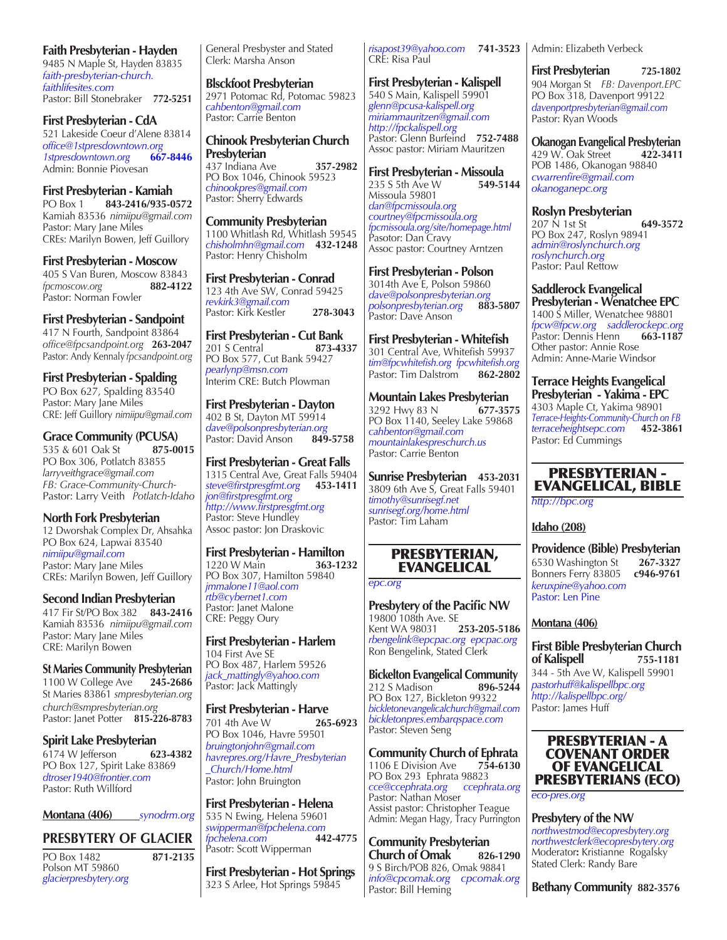#### **Faith Presbyterian - Hayden**

9485 N Maple St*,* Hayden 83835 *faith-presbyterian-church. faithlifesites.com*  Pastor: Bill Stonebraker **772-5251**

**First Presbyterian - CdA** 521 Lakeside Coeur d'Alene 83814 *office@1stpresdowntown.org 1stpresdowntown.org* Admin: Bonnie Piovesan

#### **First Presbyterian - Kamiah**

PO Box 1 **843-2416/935-0572** Kamiah 83536  *nimiipu@gmail.com* Pastor: Mary Jane Miles CREs: Marilyn Bowen, Jeff Guillory

**First Presbyterian - Moscow** 405 S Van Buren, Moscow 83843<br>formoscow.org 882-4122  $f$ *pcmoscow.org* Pastor: Norman Fowler

#### **First Presbyterian - Sandpoint**

417 N Fourth, Sandpoint 83864 *office@fpcsandpoint.org*  **263-2047** Pastor: Andy Kennaly *fpcsandpoint.org*

**First Presbyterian - Spalding** PO Box 627, Spalding 83540 Pastor: Mary Jane Miles CRE: Jeff Guillory *nimiipu@gmail.com*

**Grace Community (PCUSA)**<br>535 & 601 Oak St 875-0015 535 & 601 Oak St PO Box 306, Potlatch 83855 *larryveithgrace@gmail.com FB: Grace-Community-Church-*Pastor: Larry Veith *Potlatch-Idaho*

**North Fork Presbyterian** 12 Dworshak Complex Dr, Ahsahka PO Box 624, Lapwai 83540 *nimiipu@gmail.com* Pastor: Mary Jane Miles CREs: Marilyn Bowen, Jeff Guillory

**Second Indian Presbyterian** 417 Fir St/PO Box 382 **843-2416** Kamiah 83536 *nimiipu@gmail.com* Pastor: Mary Jane Miles CRE: Marilyn Bowen

**St Maries Community Presbyterian** 1100 W College Ave **245-2686** St Maries 83861 *smpresbyterian.org church@smpresbyterian.org* Pastor: Janet Potter **815-226-8783**

**Spirit Lake Presbyterian**<br>6174 W Jefferson 623-4382 6174 W Jefferson PO Box 127, Spirit Lake 83869 *dtroser1940@frontier.com* Pastor: Ruth Willford

**Montana (406)** *synodrm.org*

## **PRESBYTERY OF GLACIER**

PO Box 1482 **871-2135** Polson MT 59860 *glacierpresbytery.org*

General Presbyster and Stated Clerk: Marsha Anson

**Blsckfoot Presbyterian** 2971 Potomac Rd, Potomac 59823 *cahbenton@gmail.com* Pastor: Carrie Benton

**Chinook Presbyterian Church Presbyterian** 437 Indiana Ave **357-2982** PO Box 1046, Chinook 59523 *chinookpres@gmail.com* Pastor: Sherry Edwards

**Community Presbyterian** 1100 Whitlash Rd, Whitlash 59545 *chisholmhn@gmail.com*  **432-1248** Pastor: Henry Chisholm

**First Presbyterian - Conrad** 123 4th Ave SW, Conrad 59425 *revkirk3@gmail.com* Pastor: Kirk Kestler **278-3043** 

**First Presbyterian - Cut Bank** 201 S Central **873-4337** PO Box 577, Cut Bank 59427 *pearlynp@msn.com* Interim CRE: Butch Plowman

**First Presbyterian - Dayton** 402 B St, Dayton MT 59914 *dave@polsonpresbyterian.org*  Pastor: David Anson **849-5758**

**First Presbyterian - Great Falls** 1315 Central Ave, Great Falls 59404 *steve@firstpresgfmt.org* **453-1411** *jon@firstpresgfmt.org http://www.firstpresgfmt.org* Pastor: Steve Hundley Assoc pastor: Jon Draskovic

# **First Presbyterian - Hamilton**<br>1220 W Main **1363-1232**

1220 W Main **363-1232** PO Box 307, Hamilton 59840 *jmmalone11@aol.com rtb@cybernet1.com* Pastor: Janet Malone CRE: Peggy Oury

**First Presbyterian - Harlem** 104 First Ave SE PO Box 487, Harlem 59526 *jack\_mattingly@yahoo.com* Pastor: Jack Mattingly

**First Presbyterian - Harve**<br>701 4th Ave W 265-6923 701 4th Ave W PO Box 1046, Havre 59501 *bruingtonjohn@gmail.com havrepres.org/Havre\_Presbyterian \_Church/Home.html* Pastor: John Bruington

**First Presbyterian - Helena**

535 N Ewing, Helena 59601 *swipperman@fpchelena.com fpchelena.com*  **442-4775** Pasotr: Scott Wipperman

**First Presbyterian - Hot Springs** 323 S Arlee, Hot Springs 59845

*risapost39@yahoo.com*  **741-3523** Admin: Elizabeth Verbeck CRE: Risa Paul

**First Presbyterian - Kalispell** 540 S Main, Kalispell 59901 *glenn@pcusa-kalispell.org miriammauritzen@gmail.com http://fpckalispell.org* Pastor: Glenn Burfeind **752-7488** Assoc pastor: Miriam Mauritzen

**First Presbyterian - Missoula**<br>235 S 5th Ave W 549-5144 235 S 5th Ave W Missoula 59801 *dan@fpcmissoula.org courtney@fpcmissoula.org fpcmissoula.org/site/homepage.html* Pasotor: Dan Cravy Assoc pastor: Courtney Arntzen

**First Presbyterian - Polson** 3014th Ave E, Polson 59860 *dave@polsonpresbyterian.org*  $polsonpresbyterian.org$ Pastor: Dave Anson

**First Presbyterian - Whitefish** 301 Central Ave, Whitefish 59937 *tim@fpcwhitefish.org fpcwhitefish.org* Pastor: Tim Dalstrom **862-2802**

**Mountain Lakes Presbyterian**<br>3292 Hwy 83 N 677-3575 3292 Hwy 83 N **677-3575** PO Box 1140, Seeley Lake 59868 *cahbenton@gmail.com mountainlakespreschurch.us* Pastor: Carrie Benton

**Sunrise Presbyterian 453-2031** 3809 6th Ave S, Great Falls 59401 *timothy@sunrisegf.net sunrisegf.org/home.html* Pastor: Tim Laham

#### PRESBYTERIAN, EVANGELICAL

*epc.org*

**Presbytery of the Pacific NW** 19800<sup>'</sup>108th Ave. SE<br>Kent WA 98031 **253-205-5186 Kent WA 98031** *rbengelink@epcpac.org epcpac.org* Ron Bengelink, Stated Clerk

**Bickelton Evangelical Community**<br>212 S Madison<br>896-5244 212 S Madison PO Box 127, Bickleton 99322 *bickletonevangelicalchurch@gmail.com bickletonpres.embarqspace.com* Pastor: Steven Seng

**Community Church of Ephrata**<br>1106 E Division Ave 754-6130 1106 E Division Ave PO Box 293 Ephrata 98823 *cce@ccephrata.org ccephrata.org*  Pastor: Nathan Moser Assist pastor: Christopher Teague Admin: Megan Hagy, Tracy Purrington

**Community Presbyterian Church of Omak 826-1290** 9 S Birch/POB 826, Omak 98841 *info@cpcomak.org cpcomak.org* 

Pastor: Bill Heming

**First Presbyterian 725-1802** 904 Morgan St *FB: Davenport.EPC* PO Box 318*,* Davenport 99122 *davenportpresbyterian@gmail.com* Pastor: Ryan Woods

**Okanogan Evangelical Presbyterian**<br>429 W. Oak Street **422-3411** 429 W. Oak Street POB 1486, Okanogan 98840 *cwarrenfire@gmail.com okanoganepc.org*

**Roslyn Presbyterian**<br>207 N 1st St

207 N 1st St **649-3572** PO Box 247, Roslyn 98941 *admin@roslynchurch.org roslynchurch.org* Pastor: Paul Rettow

**Saddlerock Evangelical Presbyterian - Wenatchee EPC** 1400 S Miller, Wenatchee 98801 *fpcw@fpcw.org saddlerockepc.org* Pastor: Dennis Henn **663-1187** Other pastor: Annie Rose Admin: Anne-Marie Windsor

**Terrace Heights Evangelical Presbyterian - Yakima - EPC** 4303 Maple Ct, Yakima 98901 *Terrace-Heights-Community-Church on FB terraceheightsepc.com*  **452-3861** Pastor: Ed Cummings

## PRESBYTERIAN - EVANGELICAL, BIBLE

*http://bpc.org*

#### **Idaho (208)**

**Providence (Bible) Presbyterian**<br>6530 Washington St 267-3327 6530 Washington St **267-3327** Bonners Ferry 83805 **c946-9761** *keruxpine@yahoo.com*  Pastor: Len Pine

#### **Montana (406)**

**First Bible Presbyterian Church of Kalispell 755-1181** 344 - 5th Ave W, Kalispell 59901 *pastorhuff@kalispellbpc.org http://kalispellbpc.org/* Pastor: James Huff



*eco-pres.org*

**Presbytery of the NW**  *northwestmod@ecopresbytery.org northwestclerk@ecopresbytery.org* Moderator**:** Kristianne Rogalsky Stated Clerk: Randy Bare

**Bethany Community 882-3576**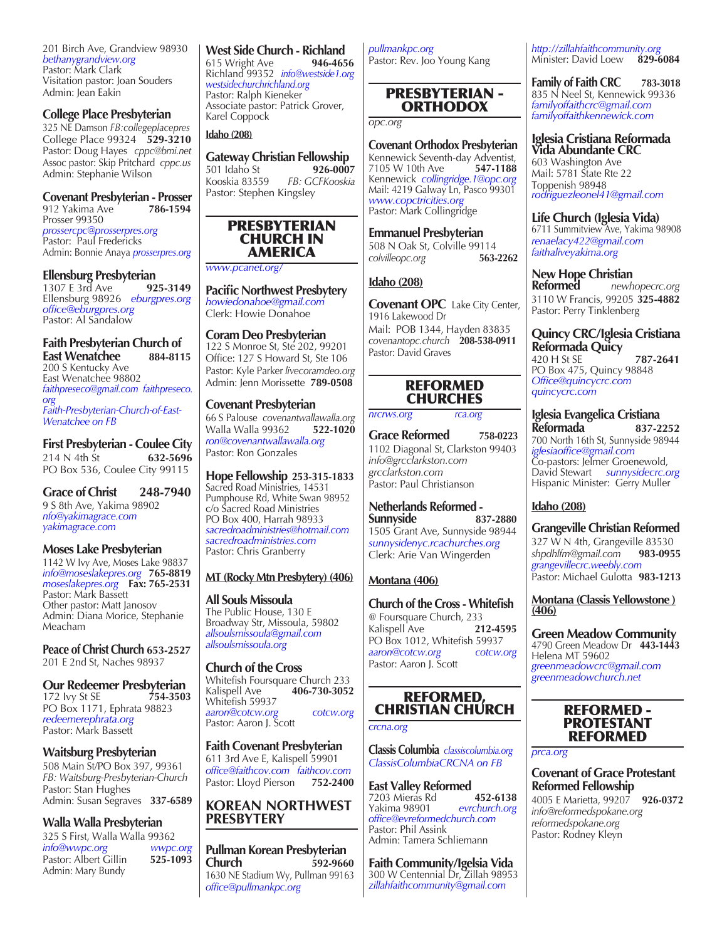201 Birch Ave, Grandview 98930 *bethanygrandview.org* Pastor: Mark Clark Visitation pastor: Joan Souders Admin: Jean Eakin

#### **College Place Presbyterian**

325 NE Damson *FB:collegeplacepres* College Place 99324 **529-3210** Pastor: Doug Hayes *cppc@bmi.net* Assoc pastor: Skip Pritchard *cppc.us* Admin: Stephanie Wilson

# **Covenant Presbyterian - Prosser**

912 Yakima Ave Prosser 99350 *prossercpc@prosserpres.org* Pastor: Paul Fredericks Admin: Bonnie Anaya *prosserpres.org* 

**Ellensburg Presbyterian**<br>1307 E 3rd Ave 925-3149 1307 E 3rd Ave **925-3149** Ellensburg 98926 *eburgpres.org office@eburgpres.org* Pastor: Al Sandalow

#### **Faith Presbyterian Church of East Wenatchee 884-8115**

200 S Kentucky Ave East Wenatchee 98802 *faithpreseco@gmail.com faithpreseco. org Faith-Presbyterian-Church-of-East-Wenatchee on FB*

**First Presbyterian - Coulee City**<br>214 N 4th St 632-5696 214 N 4th St PO Box 536, Coulee City 99115

**Grace of Christ 248-7940** 9 S 8th Ave, Yakima 98902 *nfo@yakimagrace.com yakimagrace.com*

#### **Moses Lake Presbyterian**

1142 W Ivy Ave, Moses Lake 98837 *info@moseslakepres.org*  **765-8819** *moseslakepres.org* **Fax: 765-2531** Pastor: Mark Bassett Other pastor: Matt Janosov Admin: Diana Morice, Stephanie Meacham

**Peace of Christ Church 653-2527** 201 E 2nd St, Naches 98937

**Our Redeemer Presbyterian**<br>172 Ivy St SE 754-3503 172 **Ivy St SE** PO Box 1171, Ephrata 98823 *redeemerephrata.org* Pastor: Mark Bassett

#### **Waitsburg Presbyterian**

508 Main St/PO Box 397, 99361 *FB: Waitsburg-Presbyterian-Church* Pastor: Stan Hughes Admin: Susan Segraves **337-6589**

## **Walla Walla Presbyterian**

| 325 S First, Walla Walla 99362 |          |
|--------------------------------|----------|
| info@wwpc.org                  | wwpc.org |
| Pastor: Albert Gillin          | 525-1093 |
| Admin: Mary Bundy              |          |

# **West Side Church - Richland**<br>615 Wright Ave **946-4656**

615 Wright Ave Richland 99352 *info@westside1.org westsidechurchrichland.org* Pastor: Ralph Kieneker Associate pastor: Patrick Grover, Karel Coppock

#### **Idaho (208)**

**Gateway Christian Fellowship**<br>501 Idaho St **926-0007** 501 Idaho St<br>Kooskia 83559 Kooskia 83559 *FB: GCFKooskia* Pastor: Stephen Kingsley



#### *www.pcanet.org/*

**Pacific Northwest Presbytery** *howiedonahoe@gmail.com* Clerk: Howie Donahoe

#### **Coram Deo Presbyterian**

122 S Monroe St, Ste 202, 99201 Office: 127 S Howard St, Ste 106 Pastor: Kyle Parker *livecoramdeo.org* Admin: Jenn Morissette **789-0508**

#### **Covenant Presbyterian**

66 S Palouse *covenantwallawalla.org* Walla Walla 99362 *ron@covenantwallawalla.org* Pastor: Ron Gonzales

**Hope Fellowship 253-315-1833** Sacred Road Ministries, 14531 Pumphouse Rd, White Swan 98952 c/o Sacred Road Ministries PO Box 400, Harrah 98933 *sacredroadministries@hotmail.com sacredroadministries.com* Pastor: Chris Granberry

#### **MT (Rocky Mtn Presbytery) (406)**

**All Souls Missoula** The Public House, 130 E Broadway Str, Missoula, 59802*allsoulsmissoula@gmail.com allsoulsmissoula.org*

#### **Church of the Cross**

Whitefish Foursquare Church 233<br>Kalispell Ave **406-730-3052** Kalispell Ave **406-730-3052** Whitefish 59937 *aaron@cotcw.org cotcw.org* Pastor: Aaron J. Scott

#### **Faith Covenant Presbyterian**

611 3rd Ave E, Kalispell 59901 *office@faithcov.com faithcov.com* Pastor: Lloyd Pierson **752-2400**

#### **KOREAN NORTHWEST PRESBYTERY**

**Pullman Korean Presbyterian Church 592-9660** 1630 NE Stadium Wy, Pullman 99163 *office@pullmankpc.org*

*pullmankpc.org* Pastor: Rev. Joo Young Kang

#### PRESBYTERIAN - ORTHODOX

*opc.org*

**Covenant Orthodox Presbyterian** Kennewick Seventh-day Adventist,<br>7105 W 10th Ave 547-1188 Kennewick *collingridge.1@opc.org* Mail: 4219 Galway Ln, Pasco 99301 *www.copctricities.org* Pastor: Mark Collingridge

508 N Oak St, Colville 99114<br>colvilleonc.org 563-2262  $colvilleopc.org$ 

#### **Idaho (208)**

**Covenant OPC** Lake City Center, 1916 Lakewood Dr Mail: POB 1344, Hayden 83835 *covenantopc.church* **208-538-0911** Pastor: David Graves

#### REFORMED **CHURCHES**

*nrcrws.org rca.org*

**Grace Reformed 758-0223** 1102 Diagonal St, Clarkston 99403 *info@grcclarkston.com grcclarkston.com* Pastor: Paul Christianson

**Netherlands Reformed - Sunnyside** 1505 Grant Ave, Sunnyside 98944 *sunnysidenyc.rcachurches.org* Clerk: Arie Van Wingerden

#### **Montana (406)**

**Church of the Cross - Whitefish** Kalispell Ave **212-4595** PO Box 1012, Whitefish 59937 *aaron@cotcw.org cotcw.org*

## REFORMED, CHRISTIAN CHURCH

#### *crcna.org*

**Classis Columbia** *classiscolumbia.org ClassisColumbiaCRCNA on FB*

**East Valley Reformed** 7203 Mieras Rd **452-6138**  $evrchurch.org$ *office@evreformedchurch.com* Pastor: Phil Assink Admin: Tamera Schliemann

**Faith Community/Igelsia Vida** 300 W Centennial Dr, Zillah 98953 *zillahfaithcommunity@gmail.com*

*http://zillahfaithcommunity.org* Minister: David Loew **829-6084**

**Family of Faith CRC 783-3018** 835 N Neel St, Kennewick 99336 *familyoffaithcrc@gmail.com familyoffaithkennewick.com*

**Iglesia Cristiana Reformada Vida Abundante CRC**

603 Washington Ave Mail: 5781 State Rte 22 Toppenish 98948 *rodriguezleonel41@gmail.com*

**Life Church (Iglesia Vida)** 6711 Summitview Ave, Yakima 98908 *renaelacy422@gmail.com faithaliveyakima.org*

**New Hope Christian Reformed** *newhopecrc.org* 3110 W Francis, 99205 **325-4882** Pastor: Perry Tinklenberg

**Quincy CRC/Iglesia Cristiana Reformada Quicy**  420 H St SE **787-2641** PO Box 475, Quincy 98848 *Office@quincycrc.com quincycrc.com*

**Iglesia Evangelica Cristiana Reformada 837-2252** 700 North 16th St, Sunnyside 98944 *iglesiaoffice@gmail.com* Co-pastors: Jelmer Groenewold, David Stewart *sunnysidecrc.org* Hispanic Minister: Gerry Muller

## **Idaho (208)**

**Grangeville Christian Reformed** 327 W N 4th, Grangeville 83530<br>shpdhlfm@gmail.com 983-0955 *shpdhlfm@gmail.com*  **983-0955** *grangevillecrc.weebly.com* Pastor: Michael Gulotta **983-1213**

**Montana (Classis Yellowstone ) (406)**

**Green Meadow Community** 4790 Green Meadow Dr **443-1443** Helena MT 59602 *greenmeadowcrc@gmail.com greenmeadowchurch.net*

#### REFORMED - PROTESTANT REFORMED

*prca.org*

#### **Covenant of Grace Protestant Reformed Fellowship**

4005 E Marietta, 99207 **926-0372** *info@reformedspokane.org reformedspokane.org* Pastor: Rodney Kleyn

@ Foursquare Church, 233

Pastor: Aaron J. Scott

# 7105 W 10th Ave **547-1188**

**Emmanuel Presbyterian**